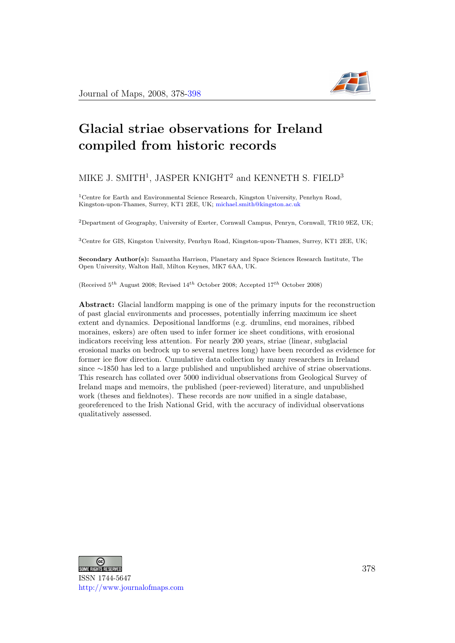

# Glacial striae observations for Ireland compiled from historic records

#### MIKE J. SMITH<sup>1</sup>, JASPER KNIGHT<sup>2</sup> and KENNETH S. FIELD<sup>3</sup>

<sup>1</sup>Centre for Earth and Environmental Science Research, Kingston University, Penrhyn Road, Kingston-upon-Thames, Surrey, KT1 2EE, UK; [michael.smith@kingston.ac.uk](file:michael.smith@kingston.ac.uk)

<sup>2</sup>Department of Geography, University of Exeter, Cornwall Campus, Penryn, Cornwall, TR10 9EZ, UK;

<sup>3</sup>Centre for GIS, Kingston University, Penrhyn Road, Kingston-upon-Thames, Surrey, KT1 2EE, UK;

Secondary Author(s): Samantha Harrison, Planetary and Space Sciences Research Institute, The Open University, Walton Hall, Milton Keynes, MK7 6AA, UK.

(Received  $5^{th}$  August 2008; Revised  $14^{th}$  October 2008; Accepted  $17^{th}$  October 2008)

Abstract: Glacial landform mapping is one of the primary inputs for the reconstruction of past glacial environments and processes, potentially inferring maximum ice sheet extent and dynamics. Depositional landforms (e.g. drumlins, end moraines, ribbed moraines, eskers) are often used to infer former ice sheet conditions, with erosional indicators receiving less attention. For nearly 200 years, striae (linear, subglacial erosional marks on bedrock up to several metres long) have been recorded as evidence for former ice flow direction. Cumulative data collection by many researchers in Ireland since ∼1850 has led to a large published and unpublished archive of striae observations. This research has collated over 5000 individual observations from Geological Survey of Ireland maps and memoirs, the published (peer-reviewed) literature, and unpublished work (theses and fieldnotes). These records are now unified in a single database, georeferenced to the Irish National Grid, with the accuracy of individual observations qualitatively assessed.



ISSN 1744-5647 <http://www.journalofmaps.com>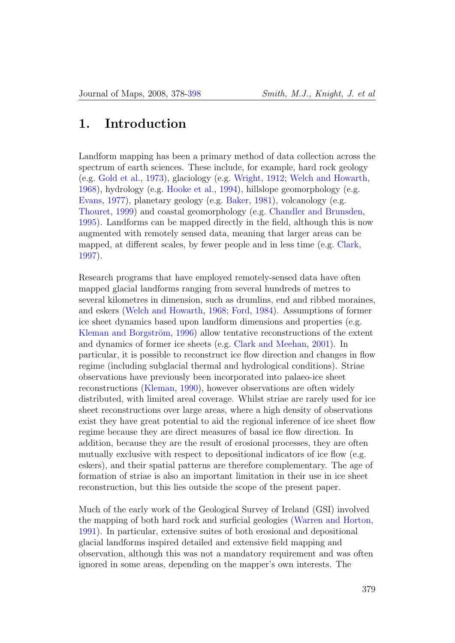#### 1. Introduction

Landform mapping has been a primary method of data collection across the spectrum of earth sciences. These include, for example, hard rock geology (e.g. [Gold et al.,](#page-11-0) [1973\)](#page-11-0), glaciology (e.g. [Wright,](#page-20-1) [1912;](#page-20-1) [Welch and Howarth,](#page-19-0) [1968\)](#page-19-0), hydrology (e.g. [Hooke et al.,](#page-11-1) [1994\)](#page-11-1), hillslope geomorphology (e.g. [Evans,](#page-10-0) [1977\)](#page-10-0), planetary geology (e.g. [Baker,](#page-8-0) [1981\)](#page-8-0), volcanology (e.g. [Thouret,](#page-18-0) [1999\)](#page-18-0) and coastal geomorphology (e.g. [Chandler and Brunsden,](#page-8-1) [1995\)](#page-8-1). Landforms can be mapped directly in the field, although this is now augmented with remotely sensed data, meaning that larger areas can be mapped, at different scales, by fewer people and in less time (e.g. [Clark,](#page-9-0) [1997\)](#page-9-0).

Research programs that have employed remotely-sensed data have often mapped glacial landforms ranging from several hundreds of metres to several kilometres in dimension, such as drumlins, end and ribbed moraines, and eskers [\(Welch and Howarth,](#page-19-0) [1968;](#page-19-0) [Ford,](#page-11-2) [1984\)](#page-11-2). Assumptions of former ice sheet dynamics based upon landform dimensions and properties (e.g. Kleman and Borgström, [1996\)](#page-14-0) allow tentative reconstructions of the extent and dynamics of former ice sheets (e.g. [Clark and Meehan,](#page-9-1) [2001\)](#page-9-1). In particular, it is possible to reconstruct ice flow direction and changes in flow regime (including subglacial thermal and hydrological conditions). Striae observations have previously been incorporated into palaeo-ice sheet reconstructions [\(Kleman,](#page-14-1) [1990\)](#page-14-1), however observations are often widely distributed, with limited areal coverage. Whilst striae are rarely used for ice sheet reconstructions over large areas, where a high density of observations exist they have great potential to aid the regional inference of ice sheet flow regime because they are direct measures of basal ice flow direction. In addition, because they are the result of erosional processes, they are often mutually exclusive with respect to depositional indicators of ice flow (e.g. eskers), and their spatial patterns are therefore complementary. The age of formation of striae is also an important limitation in their use in ice sheet reconstruction, but this lies outside the scope of the present paper.

Much of the early work of the Geological Survey of Ireland (GSI) involved the mapping of both hard rock and surficial geologies [\(Warren and Horton,](#page-19-1) [1991\)](#page-19-1). In particular, extensive suites of both erosional and depositional glacial landforms inspired detailed and extensive field mapping and observation, although this was not a mandatory requirement and was often ignored in some areas, depending on the mapper's own interests. The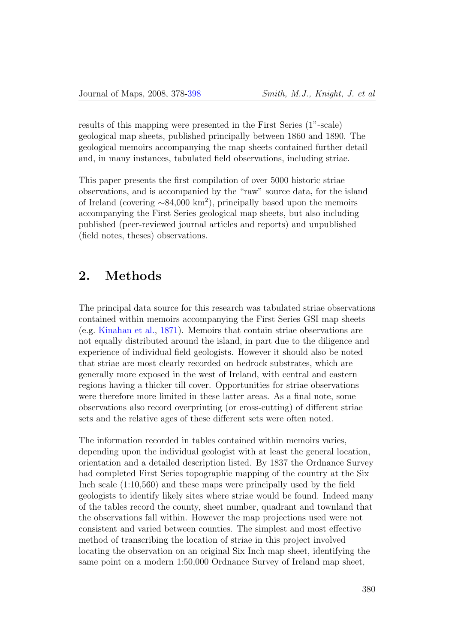results of this mapping were presented in the First Series (1"-scale) geological map sheets, published principally between 1860 and 1890. The geological memoirs accompanying the map sheets contained further detail and, in many instances, tabulated field observations, including striae.

This paper presents the first compilation of over 5000 historic striae observations, and is accompanied by the "raw" source data, for the island of Ireland (covering ∼84,000 km<sup>2</sup> ), principally based upon the memoirs accompanying the First Series geological map sheets, but also including published (peer-reviewed journal articles and reports) and unpublished (field notes, theses) observations.

### 2. Methods

The principal data source for this research was tabulated striae observations contained within memoirs accompanying the First Series GSI map sheets (e.g. [Kinahan et al.,](#page-14-2) [1871\)](#page-14-2). Memoirs that contain striae observations are not equally distributed around the island, in part due to the diligence and experience of individual field geologists. However it should also be noted that striae are most clearly recorded on bedrock substrates, which are generally more exposed in the west of Ireland, with central and eastern regions having a thicker till cover. Opportunities for striae observations were therefore more limited in these latter areas. As a final note, some observations also record overprinting (or cross-cutting) of different striae sets and the relative ages of these different sets were often noted.

The information recorded in tables contained within memoirs varies, depending upon the individual geologist with at least the general location, orientation and a detailed description listed. By 1837 the Ordnance Survey had completed First Series topographic mapping of the country at the Six Inch scale (1:10,560) and these maps were principally used by the field geologists to identify likely sites where striae would be found. Indeed many of the tables record the county, sheet number, quadrant and townland that the observations fall within. However the map projections used were not consistent and varied between counties. The simplest and most effective method of transcribing the location of striae in this project involved locating the observation on an original Six Inch map sheet, identifying the same point on a modern 1:50,000 Ordnance Survey of Ireland map sheet,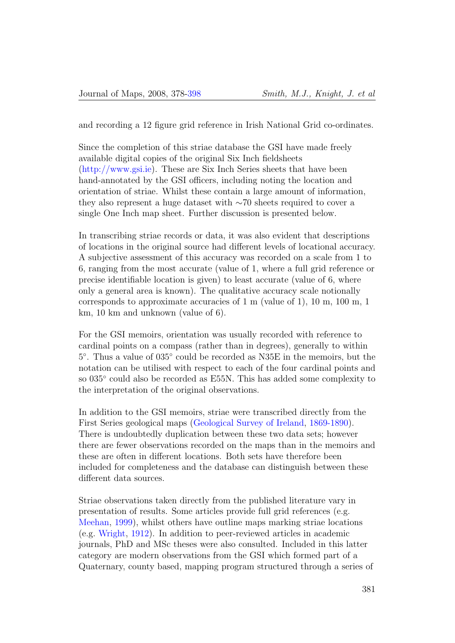and recording a 12 figure grid reference in Irish National Grid co-ordinates.

Since the completion of this striae database the GSI have made freely available digital copies of the original Six Inch fieldsheets [\(http://www.gsi.ie\)](http://www.gsi.ie). These are Six Inch Series sheets that have been hand-annotated by the GSI officers, including noting the location and orientation of striae. Whilst these contain a large amount of information, they also represent a huge dataset with ∼70 sheets required to cover a single One Inch map sheet. Further discussion is presented below.

In transcribing striae records or data, it was also evident that descriptions of locations in the original source had different levels of locational accuracy. A subjective assessment of this accuracy was recorded on a scale from 1 to 6, ranging from the most accurate (value of 1, where a full grid reference or precise identifiable location is given) to least accurate (value of 6, where only a general area is known). The qualitative accuracy scale notionally corresponds to approximate accuracies of 1 m (value of 1), 10 m, 100 m, 1 km, 10 km and unknown (value of 6).

For the GSI memoirs, orientation was usually recorded with reference to cardinal points on a compass (rather than in degrees), generally to within 5 ◦ . Thus a value of 035◦ could be recorded as N35E in the memoirs, but the notation can be utilised with respect to each of the four cardinal points and so 035<sup>°</sup> could also be recorded as E55N. This has added some complexity to the interpretation of the original observations.

In addition to the GSI memoirs, striae were transcribed directly from the First Series geological maps [\(Geological Survey of Ireland,](#page-11-3) [1869-1890\)](#page-11-3). There is undoubtedly duplication between these two data sets; however there are fewer observations recorded on the maps than in the memoirs and these are often in different locations. Both sets have therefore been included for completeness and the database can distinguish between these different data sources.

Striae observations taken directly from the published literature vary in presentation of results. Some articles provide full grid references (e.g. [Meehan,](#page-16-0) [1999\)](#page-16-0), whilst others have outline maps marking striae locations (e.g. [Wright,](#page-20-1) [1912\)](#page-20-1). In addition to peer-reviewed articles in academic journals, PhD and MSc theses were also consulted. Included in this latter category are modern observations from the GSI which formed part of a Quaternary, county based, mapping program structured through a series of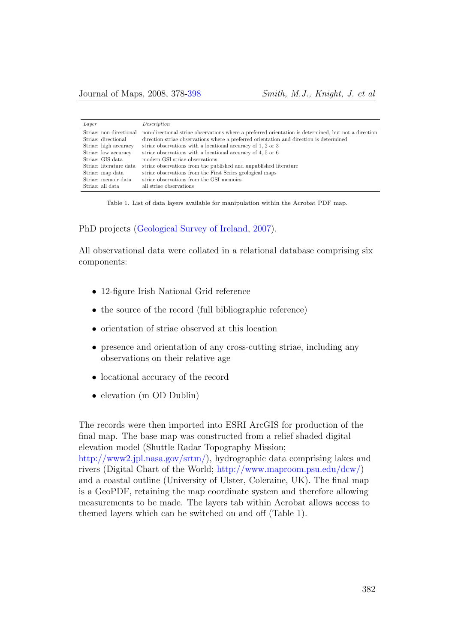| Layer                   | Description                                                                                          |
|-------------------------|------------------------------------------------------------------------------------------------------|
| Striae: non directional | non-directional striae observations where a preferred orientation is determined, but not a direction |
| Striae: directional     | direction striae observations where a preferred orientation and direction is determined              |
| Striae: high accuracy   | striae observations with a locational accuracy of 1, 2 or 3                                          |
| Striae: low accuracy    | striae observations with a locational accuracy of 4, 5 or 6                                          |
| Striae: GIS data        | modern GSI striae observations                                                                       |
| Striae: literature data | striae observations from the published and unpublished literature                                    |
| Striae: map data        | striae observations from the First Series geological maps                                            |
| Striae: memoir data     | striae observations from the GSI memoirs                                                             |
| Striae: all data        | all striae observations                                                                              |

Table 1. List of data layers available for manipulation within the Acrobat PDF map.

PhD projects [\(Geological Survey of Ireland,](#page-11-4) [2007\)](#page-11-4).

All observational data were collated in a relational database comprising six components:

- 12-figure Irish National Grid reference
- the source of the record (full bibliographic reference)
- orientation of striae observed at this location
- presence and orientation of any cross-cutting striae, including any observations on their relative age
- locational accuracy of the record
- elevation (m OD Dublin)

The records were then imported into ESRI ArcGIS for production of the final map. The base map was constructed from a relief shaded digital elevation model (Shuttle Radar Topography Mission; [http://www2.jpl.nasa.gov/srtm/\)](http://www2.jpl.nasa.gov/srtm/), hydrographic data comprising lakes and rivers (Digital Chart of the World; [http://www.maproom.psu.edu/dcw/\)](http://www.maproom.psu.edu/dcw/) and a coastal outline (University of Ulster, Coleraine, UK). The final map is a GeoPDF, retaining the map coordinate system and therefore allowing measurements to be made. The layers tab within Acrobat allows access to themed layers which can be switched on and off (Table 1).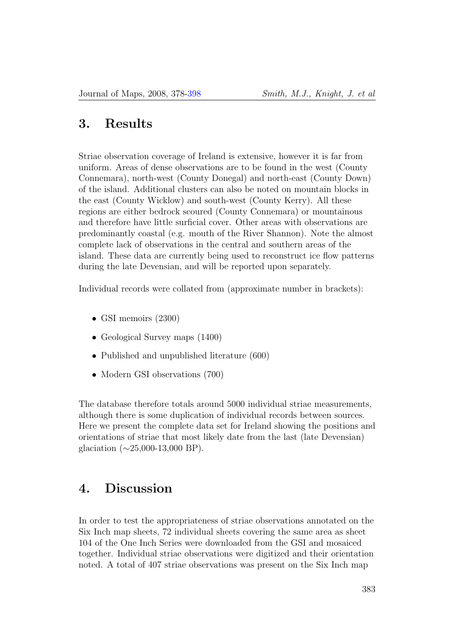#### 3. Results

Striae observation coverage of Ireland is extensive, however it is far from uniform. Areas of dense observations are to be found in the west (County Connemara), north-west (County Donegal) and north-east (County Down) of the island. Additional clusters can also be noted on mountain blocks in the east (County Wicklow) and south-west (County Kerry). All these regions are either bedrock scoured (County Connemara) or mountainous and therefore have little surficial cover. Other areas with observations are predominantly coastal (e.g. mouth of the River Shannon). Note the almost complete lack of observations in the central and southern areas of the island. These data are currently being used to reconstruct ice flow patterns during the late Devensian, and will be reported upon separately.

Individual records were collated from (approximate number in brackets):

- GSI memoirs (2300)
- Geological Survey maps  $(1400)$
- Published and unpublished literature (600)
- Modern GSI observations (700)

The database therefore totals around 5000 individual striae measurements, although there is some duplication of individual records between sources. Here we present the complete data set for Ireland showing the positions and orientations of striae that most likely date from the last (late Devensian) glaciation  $(\sim 25,000-13,000$  BP).

#### 4. Discussion

In order to test the appropriateness of striae observations annotated on the Six Inch map sheets, 72 individual sheets covering the same area as sheet 104 of the One Inch Series were downloaded from the GSI and mosaiced together. Individual striae observations were digitized and their orientation noted. A total of 407 striae observations was present on the Six Inch map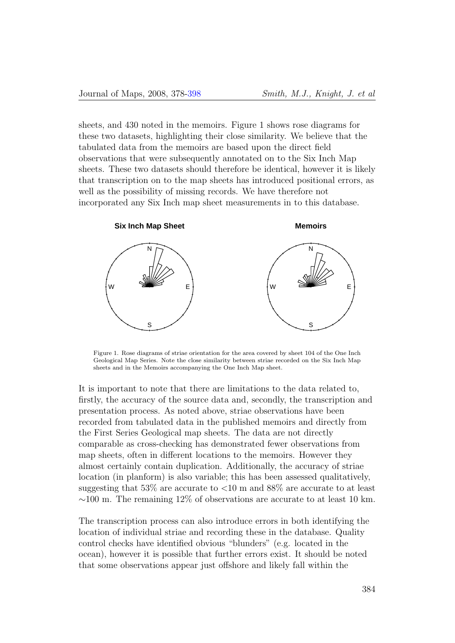sheets, and 430 noted in the memoirs. Figure 1 shows rose diagrams for these two datasets, highlighting their close similarity. We believe that the tabulated data from the memoirs are based upon the direct field observations that were subsequently annotated on to the Six Inch Map sheets. These two datasets should therefore be identical, however it is likely that transcription on to the map sheets has introduced positional errors, as well as the possibility of missing records. We have therefore not incorporated any Six Inch map sheet measurements in to this database.



Figure 1. Rose diagrams of striae orientation for the area covered by sheet 104 of the One Inch Geological Map Series. Note the close similarity between striae recorded on the Six Inch Map sheets and in the Memoirs accompanying the One Inch Map sheet.

It is important to note that there are limitations to the data related to, firstly, the accuracy of the source data and, secondly, the transcription and presentation process. As noted above, striae observations have been recorded from tabulated data in the published memoirs and directly from the First Series Geological map sheets. The data are not directly comparable as cross-checking has demonstrated fewer observations from map sheets, often in different locations to the memoirs. However they almost certainly contain duplication. Additionally, the accuracy of striae location (in planform) is also variable; this has been assessed qualitatively, suggesting that 53% are accurate to <10 m and 88% are accurate to at least  $\sim$ 100 m. The remaining 12% of observations are accurate to at least 10 km.

The transcription process can also introduce errors in both identifying the location of individual striae and recording these in the database. Quality control checks have identified obvious "blunders" (e.g. located in the ocean), however it is possible that further errors exist. It should be noted that some observations appear just offshore and likely fall within the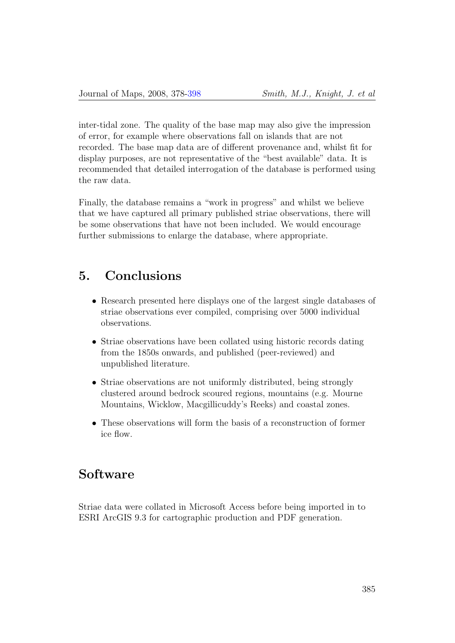inter-tidal zone. The quality of the base map may also give the impression of error, for example where observations fall on islands that are not recorded. The base map data are of different provenance and, whilst fit for display purposes, are not representative of the "best available" data. It is recommended that detailed interrogation of the database is performed using the raw data.

Finally, the database remains a "work in progress" and whilst we believe that we have captured all primary published striae observations, there will be some observations that have not been included. We would encourage further submissions to enlarge the database, where appropriate.

#### 5. Conclusions

- Research presented here displays one of the largest single databases of striae observations ever compiled, comprising over 5000 individual observations.
- Striae observations have been collated using historic records dating from the 1850s onwards, and published (peer-reviewed) and unpublished literature.
- Striae observations are not uniformly distributed, being strongly clustered around bedrock scoured regions, mountains (e.g. Mourne Mountains, Wicklow, Macgillicuddy's Reeks) and coastal zones.
- These observations will form the basis of a reconstruction of former ice flow.

#### Software

Striae data were collated in Microsoft Access before being imported in to ESRI ArcGIS 9.3 for cartographic production and PDF generation.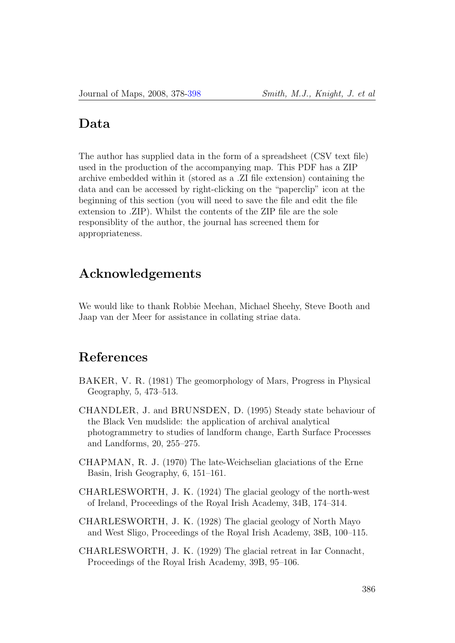#### Data

The author has supplied data in the form of a spreadsheet (CSV text file) used in the production of the accompanying map. This PDF has a ZIP archive embedded within it (stored as a .ZI file extension) containing the data and can be accessed by right-clicking on the "paperclip" icon at the beginning of this section (you will need to save the file and edit the file extension to .ZIP). Whilst the contents of the ZIP file are the sole responsiblity of the author, the journal has screened them for appropriateness.

### Acknowledgements

We would like to thank Robbie Meehan, Michael Sheehy, Steve Booth and Jaap van der Meer for assistance in collating striae data.

## References

- <span id="page-8-0"></span>BAKER, V. R. (1981) The geomorphology of Mars, Progress in Physical Geography, 5, 473–513.
- <span id="page-8-1"></span>CHANDLER, J. and BRUNSDEN, D. (1995) Steady state behaviour of the Black Ven mudslide: the application of archival analytical photogrammetry to studies of landform change, Earth Surface Processes and Landforms, 20, 255–275.
- CHAPMAN, R. J. (1970) The late-Weichselian glaciations of the Erne Basin, Irish Geography, 6, 151–161.
- CHARLESWORTH, J. K. (1924) The glacial geology of the north-west of Ireland, Proceedings of the Royal Irish Academy, 34B, 174–314.
- CHARLESWORTH, J. K. (1928) The glacial geology of North Mayo and West Sligo, Proceedings of the Royal Irish Academy, 38B, 100–115.
- CHARLESWORTH, J. K. (1929) The glacial retreat in Iar Connacht, Proceedings of the Royal Irish Academy, 39B, 95–106.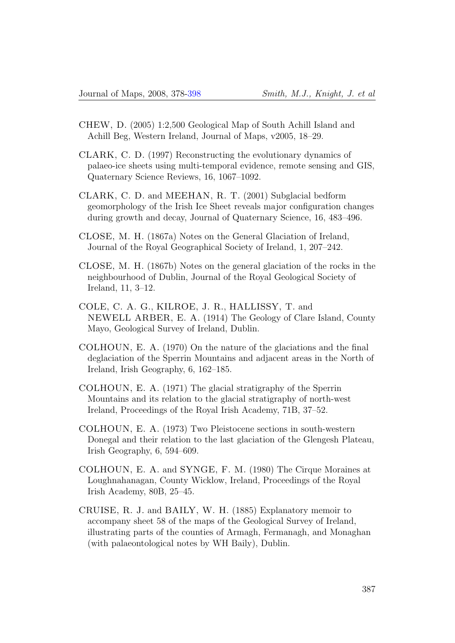- CHEW, D. (2005) 1:2,500 Geological Map of South Achill Island and Achill Beg, Western Ireland, Journal of Maps, v2005, 18–29.
- <span id="page-9-0"></span>CLARK, C. D. (1997) Reconstructing the evolutionary dynamics of palaeo-ice sheets using multi-temporal evidence, remote sensing and GIS, Quaternary Science Reviews, 16, 1067–1092.
- <span id="page-9-1"></span>CLARK, C. D. and MEEHAN, R. T. (2001) Subglacial bedform geomorphology of the Irish Ice Sheet reveals major configuration changes during growth and decay, Journal of Quaternary Science, 16, 483–496.
- CLOSE, M. H. (1867a) Notes on the General Glaciation of Ireland, Journal of the Royal Geographical Society of Ireland, 1, 207–242.
- CLOSE, M. H. (1867b) Notes on the general glaciation of the rocks in the neighbourhood of Dublin, Journal of the Royal Geological Society of Ireland, 11, 3–12.
- COLE, C. A. G., KILROE, J. R., HALLISSY, T. and NEWELL ARBER, E. A. (1914) The Geology of Clare Island, County Mayo, Geological Survey of Ireland, Dublin.
- COLHOUN, E. A. (1970) On the nature of the glaciations and the final deglaciation of the Sperrin Mountains and adjacent areas in the North of Ireland, Irish Geography, 6, 162–185.
- COLHOUN, E. A. (1971) The glacial stratigraphy of the Sperrin Mountains and its relation to the glacial stratigraphy of north-west Ireland, Proceedings of the Royal Irish Academy, 71B, 37–52.
- COLHOUN, E. A. (1973) Two Pleistocene sections in south-western Donegal and their relation to the last glaciation of the Glengesh Plateau, Irish Geography, 6, 594–609.
- COLHOUN, E. A. and SYNGE, F. M. (1980) The Cirque Moraines at Loughnahanagan, County Wicklow, Ireland, Proceedings of the Royal Irish Academy, 80B, 25–45.
- CRUISE, R. J. and BAILY, W. H. (1885) Explanatory memoir to accompany sheet 58 of the maps of the Geological Survey of Ireland, illustrating parts of the counties of Armagh, Fermanagh, and Monaghan (with palaeontological notes by WH Baily), Dublin.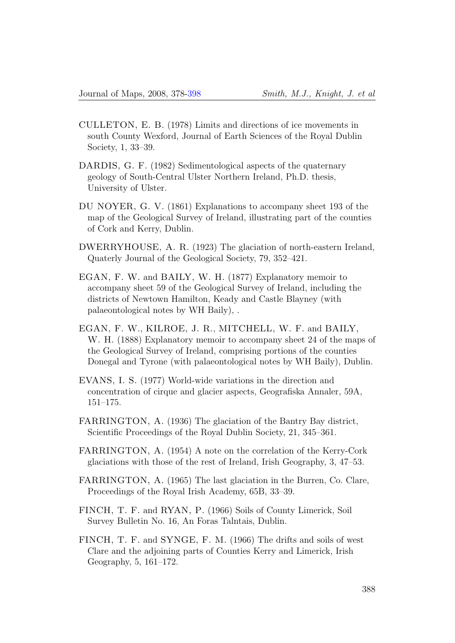- CULLETON, E. B. (1978) Limits and directions of ice movements in south County Wexford, Journal of Earth Sciences of the Royal Dublin Society, 1, 33–39.
- DARDIS, G. F. (1982) Sedimentological aspects of the quaternary geology of South-Central Ulster Northern Ireland, Ph.D. thesis, University of Ulster.
- DU NOYER, G. V. (1861) Explanations to accompany sheet 193 of the map of the Geological Survey of Ireland, illustrating part of the counties of Cork and Kerry, Dublin.
- DWERRYHOUSE, A. R. (1923) The glaciation of north-eastern Ireland, Quaterly Journal of the Geological Society, 79, 352–421.
- EGAN, F. W. and BAILY, W. H. (1877) Explanatory memoir to accompany sheet 59 of the Geological Survey of Ireland, including the districts of Newtown Hamilton, Keady and Castle Blayney (with palaeontological notes by WH Baily), .
- EGAN, F. W., KILROE, J. R., MITCHELL, W. F. and BAILY, W. H. (1888) Explanatory memoir to accompany sheet 24 of the maps of the Geological Survey of Ireland, comprising portions of the counties Donegal and Tyrone (with palaeontological notes by WH Baily), Dublin.
- <span id="page-10-0"></span>EVANS, I. S. (1977) World-wide variations in the direction and concentration of cirque and glacier aspects, Geografiska Annaler, 59A, 151–175.
- FARRINGTON, A. (1936) The glaciation of the Bantry Bay district, Scientific Proceedings of the Royal Dublin Society, 21, 345–361.
- FARRINGTON, A. (1954) A note on the correlation of the Kerry-Cork glaciations with those of the rest of Ireland, Irish Geography, 3, 47–53.
- FARRINGTON, A. (1965) The last glaciation in the Burren, Co. Clare, Proceedings of the Royal Irish Academy, 65B, 33–39.
- FINCH, T. F. and RYAN, P. (1966) Soils of County Limerick, Soil Survey Bulletin No. 16, An Foras Talntais, Dublin.
- FINCH, T. F. and SYNGE, F. M. (1966) The drifts and soils of west Clare and the adjoining parts of Counties Kerry and Limerick, Irish Geography, 5, 161–172.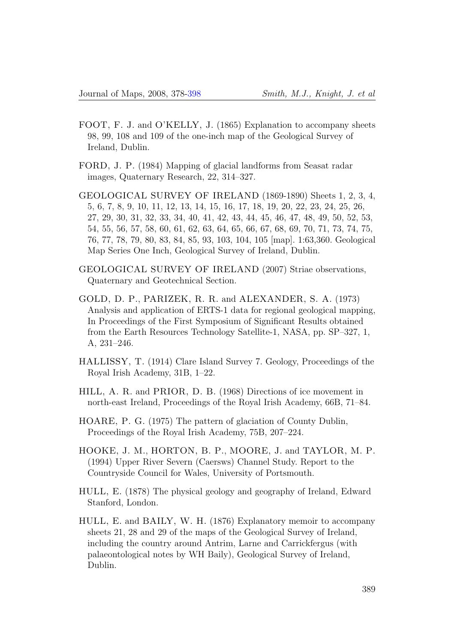- FOOT, F. J. and O'KELLY, J. (1865) Explanation to accompany sheets 98, 99, 108 and 109 of the one-inch map of the Geological Survey of Ireland, Dublin.
- <span id="page-11-2"></span>FORD, J. P. (1984) Mapping of glacial landforms from Seasat radar images, Quaternary Research, 22, 314–327.
- <span id="page-11-3"></span>GEOLOGICAL SURVEY OF IRELAND (1869-1890) Sheets 1, 2, 3, 4, 5, 6, 7, 8, 9, 10, 11, 12, 13, 14, 15, 16, 17, 18, 19, 20, 22, 23, 24, 25, 26, 27, 29, 30, 31, 32, 33, 34, 40, 41, 42, 43, 44, 45, 46, 47, 48, 49, 50, 52, 53, 54, 55, 56, 57, 58, 60, 61, 62, 63, 64, 65, 66, 67, 68, 69, 70, 71, 73, 74, 75, 76, 77, 78, 79, 80, 83, 84, 85, 93, 103, 104, 105 [map]. 1:63,360. Geological Map Series One Inch, Geological Survey of Ireland, Dublin.
- <span id="page-11-4"></span>GEOLOGICAL SURVEY OF IRELAND (2007) Striae observations, Quaternary and Geotechnical Section.
- <span id="page-11-0"></span>GOLD, D. P., PARIZEK, R. R. and ALEXANDER, S. A. (1973) Analysis and application of ERTS-1 data for regional geological mapping, In Proceedings of the First Symposium of Significant Results obtained from the Earth Resources Technology Satellite-1, NASA, pp. SP–327, 1, A, 231–246.
- HALLISSY, T. (1914) Clare Island Survey 7. Geology, Proceedings of the Royal Irish Academy, 31B, 1–22.
- HILL, A. R. and PRIOR, D. B. (1968) Directions of ice movement in north-east Ireland, Proceedings of the Royal Irish Academy, 66B, 71–84.
- HOARE, P. G. (1975) The pattern of glaciation of County Dublin, Proceedings of the Royal Irish Academy, 75B, 207–224.
- <span id="page-11-1"></span>HOOKE, J. M., HORTON, B. P., MOORE, J. and TAYLOR, M. P. (1994) Upper River Severn (Caersws) Channel Study. Report to the Countryside Council for Wales, University of Portsmouth.
- HULL, E. (1878) The physical geology and geography of Ireland, Edward Stanford, London.
- HULL, E. and BAILY, W. H. (1876) Explanatory memoir to accompany sheets 21, 28 and 29 of the maps of the Geological Survey of Ireland, including the country around Antrim, Larne and Carrickfergus (with palaeontological notes by WH Baily), Geological Survey of Ireland, Dublin.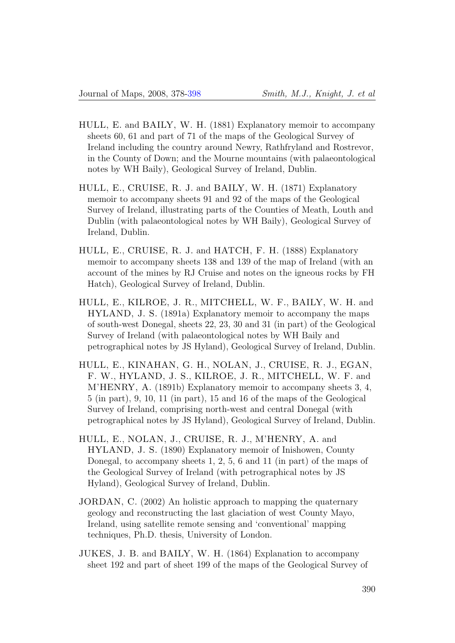- HULL, E. and BAILY, W. H. (1881) Explanatory memoir to accompany sheets 60, 61 and part of 71 of the maps of the Geological Survey of Ireland including the country around Newry, Rathfryland and Rostrevor, in the County of Down; and the Mourne mountains (with palaeontological notes by WH Baily), Geological Survey of Ireland, Dublin.
- HULL, E., CRUISE, R. J. and BAILY, W. H. (1871) Explanatory memoir to accompany sheets 91 and 92 of the maps of the Geological Survey of Ireland, illustrating parts of the Counties of Meath, Louth and Dublin (with palaeontological notes by WH Baily), Geological Survey of Ireland, Dublin.
- HULL, E., CRUISE, R. J. and HATCH, F. H. (1888) Explanatory memoir to accompany sheets 138 and 139 of the map of Ireland (with an account of the mines by RJ Cruise and notes on the igneous rocks by FH Hatch), Geological Survey of Ireland, Dublin.
- HULL, E., KILROE, J. R., MITCHELL, W. F., BAILY, W. H. and HYLAND, J. S. (1891a) Explanatory memoir to accompany the maps of south-west Donegal, sheets 22, 23, 30 and 31 (in part) of the Geological Survey of Ireland (with palaeontological notes by WH Baily and petrographical notes by JS Hyland), Geological Survey of Ireland, Dublin.
- HULL, E., KINAHAN, G. H., NOLAN, J., CRUISE, R. J., EGAN, F. W., HYLAND, J. S., KILROE, J. R., MITCHELL, W. F. and M'HENRY, A. (1891b) Explanatory memoir to accompany sheets 3, 4, 5 (in part), 9, 10, 11 (in part), 15 and 16 of the maps of the Geological Survey of Ireland, comprising north-west and central Donegal (with petrographical notes by JS Hyland), Geological Survey of Ireland, Dublin.
- HULL, E., NOLAN, J., CRUISE, R. J., M'HENRY, A. and HYLAND, J. S. (1890) Explanatory memoir of Inishowen, County Donegal, to accompany sheets 1, 2, 5, 6 and 11 (in part) of the maps of the Geological Survey of Ireland (with petrographical notes by JS Hyland), Geological Survey of Ireland, Dublin.
- JORDAN, C. (2002) An holistic approach to mapping the quaternary geology and reconstructing the last glaciation of west County Mayo, Ireland, using satellite remote sensing and 'conventional' mapping techniques, Ph.D. thesis, University of London.
- JUKES, J. B. and BAILY, W. H. (1864) Explanation to accompany sheet 192 and part of sheet 199 of the maps of the Geological Survey of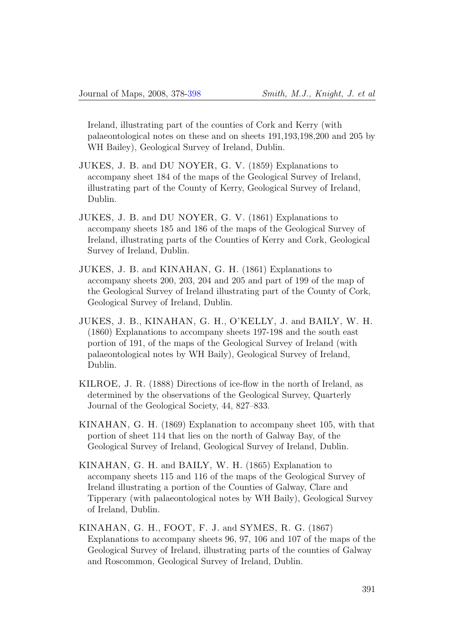Ireland, illustrating part of the counties of Cork and Kerry (with palaeontological notes on these and on sheets 191,193,198,200 and 205 by WH Bailey), Geological Survey of Ireland, Dublin.

- JUKES, J. B. and DU NOYER, G. V. (1859) Explanations to accompany sheet 184 of the maps of the Geological Survey of Ireland, illustrating part of the County of Kerry, Geological Survey of Ireland, Dublin.
- JUKES, J. B. and DU NOYER, G. V. (1861) Explanations to accompany sheets 185 and 186 of the maps of the Geological Survey of Ireland, illustrating parts of the Counties of Kerry and Cork, Geological Survey of Ireland, Dublin.
- JUKES, J. B. and KINAHAN, G. H. (1861) Explanations to accompany sheets 200, 203, 204 and 205 and part of 199 of the map of the Geological Survey of Ireland illustrating part of the County of Cork, Geological Survey of Ireland, Dublin.
- JUKES, J. B., KINAHAN, G. H., O'KELLY, J. and BAILY, W. H. (1860) Explanations to accompany sheets 197-198 and the south east portion of 191, of the maps of the Geological Survey of Ireland (with palaeontological notes by WH Baily), Geological Survey of Ireland, Dublin.
- KILROE, J. R. (1888) Directions of ice-flow in the north of Ireland, as determined by the observations of the Geological Survey, Quarterly Journal of the Geological Society, 44, 827–833.
- KINAHAN, G. H. (1869) Explanation to accompany sheet 105, with that portion of sheet 114 that lies on the north of Galway Bay, of the Geological Survey of Ireland, Geological Survey of Ireland, Dublin.
- KINAHAN, G. H. and BAILY, W. H. (1865) Explanation to accompany sheets 115 and 116 of the maps of the Geological Survey of Ireland illustrating a portion of the Counties of Galway, Clare and Tipperary (with palaeontological notes by WH Baily), Geological Survey of Ireland, Dublin.
- KINAHAN, G. H., FOOT, F. J. and SYMES, R. G. (1867) Explanations to accompany sheets 96, 97, 106 and 107 of the maps of the Geological Survey of Ireland, illustrating parts of the counties of Galway and Roscommon, Geological Survey of Ireland, Dublin.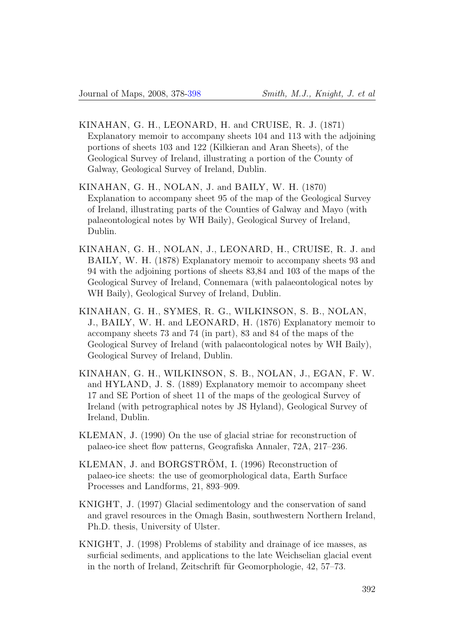- <span id="page-14-2"></span>KINAHAN, G. H., LEONARD, H. and CRUISE, R. J. (1871) Explanatory memoir to accompany sheets 104 and 113 with the adjoining portions of sheets 103 and 122 (Kilkieran and Aran Sheets), of the Geological Survey of Ireland, illustrating a portion of the County of Galway, Geological Survey of Ireland, Dublin.
- KINAHAN, G. H., NOLAN, J. and BAILY, W. H. (1870) Explanation to accompany sheet 95 of the map of the Geological Survey of Ireland, illustrating parts of the Counties of Galway and Mayo (with palaeontological notes by WH Baily), Geological Survey of Ireland, Dublin.
- KINAHAN, G. H., NOLAN, J., LEONARD, H., CRUISE, R. J. and BAILY, W. H. (1878) Explanatory memoir to accompany sheets 93 and 94 with the adjoining portions of sheets 83,84 and 103 of the maps of the Geological Survey of Ireland, Connemara (with palaeontological notes by WH Baily), Geological Survey of Ireland, Dublin.
- KINAHAN, G. H., SYMES, R. G., WILKINSON, S. B., NOLAN, J., BAILY, W. H. and LEONARD, H. (1876) Explanatory memoir to accompany sheets 73 and 74 (in part), 83 and 84 of the maps of the Geological Survey of Ireland (with palaeontological notes by WH Baily), Geological Survey of Ireland, Dublin.
- KINAHAN, G. H., WILKINSON, S. B., NOLAN, J., EGAN, F. W. and HYLAND, J. S. (1889) Explanatory memoir to accompany sheet 17 and SE Portion of sheet 11 of the maps of the geological Survey of Ireland (with petrographical notes by JS Hyland), Geological Survey of Ireland, Dublin.
- <span id="page-14-1"></span>KLEMAN, J. (1990) On the use of glacial striae for reconstruction of palaeo-ice sheet flow patterns, Geografiska Annaler, 72A, 217–236.
- <span id="page-14-0"></span>KLEMAN, J. and BORGSTRÖM, I. (1996) Reconstruction of palaeo-ice sheets: the use of geomorphological data, Earth Surface Processes and Landforms, 21, 893–909.
- KNIGHT, J. (1997) Glacial sedimentology and the conservation of sand and gravel resources in the Omagh Basin, southwestern Northern Ireland, Ph.D. thesis, University of Ulster.
- KNIGHT, J. (1998) Problems of stability and drainage of ice masses, as surficial sediments, and applications to the late Weichselian glacial event in the north of Ireland, Zeitschrift für Geomorphologie, 42, 57–73.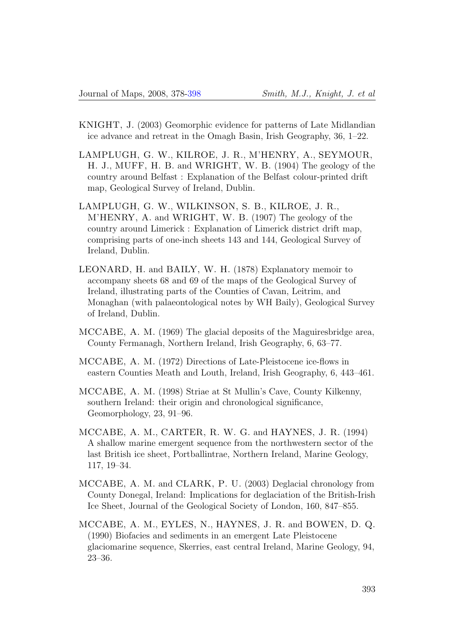- KNIGHT, J. (2003) Geomorphic evidence for patterns of Late Midlandian ice advance and retreat in the Omagh Basin, Irish Geography, 36, 1–22.
- LAMPLUGH, G. W., KILROE, J. R., M'HENRY, A., SEYMOUR, H. J., MUFF, H. B. and WRIGHT, W. B. (1904) The geology of the country around Belfast : Explanation of the Belfast colour-printed drift map, Geological Survey of Ireland, Dublin.
- LAMPLUGH, G. W., WILKINSON, S. B., KILROE, J. R., M'HENRY, A. and WRIGHT, W. B. (1907) The geology of the country around Limerick : Explanation of Limerick district drift map, comprising parts of one-inch sheets 143 and 144, Geological Survey of Ireland, Dublin.
- LEONARD, H. and BAILY, W. H. (1878) Explanatory memoir to accompany sheets 68 and 69 of the maps of the Geological Survey of Ireland, illustrating parts of the Counties of Cavan, Leitrim, and Monaghan (with palaeontological notes by WH Baily), Geological Survey of Ireland, Dublin.
- MCCABE, A. M. (1969) The glacial deposits of the Maguiresbridge area, County Fermanagh, Northern Ireland, Irish Geography, 6, 63–77.
- MCCABE, A. M. (1972) Directions of Late-Pleistocene ice-flows in eastern Counties Meath and Louth, Ireland, Irish Geography, 6, 443–461.
- MCCABE, A. M. (1998) Striae at St Mullin's Cave, County Kilkenny, southern Ireland: their origin and chronological significance, Geomorphology, 23, 91–96.
- MCCABE, A. M., CARTER, R. W. G. and HAYNES, J. R. (1994) A shallow marine emergent sequence from the northwestern sector of the last British ice sheet, Portballintrae, Northern Ireland, Marine Geology, 117, 19–34.
- MCCABE, A. M. and CLARK, P. U. (2003) Deglacial chronology from County Donegal, Ireland: Implications for deglaciation of the British-Irish Ice Sheet, Journal of the Geological Society of London, 160, 847–855.
- MCCABE, A. M., EYLES, N., HAYNES, J. R. and BOWEN, D. Q. (1990) Biofacies and sediments in an emergent Late Pleistocene glaciomarine sequence, Skerries, east central Ireland, Marine Geology, 94, 23–36.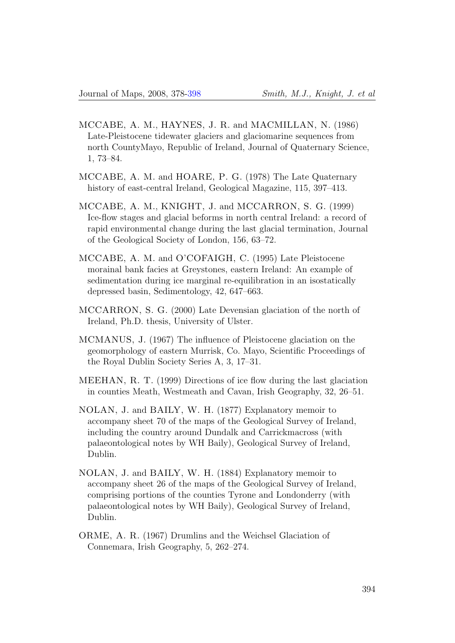- MCCABE, A. M., HAYNES, J. R. and MACMILLAN, N. (1986) Late-Pleistocene tidewater glaciers and glaciomarine sequences from north CountyMayo, Republic of Ireland, Journal of Quaternary Science, 1, 73–84.
- MCCABE, A. M. and HOARE, P. G. (1978) The Late Quaternary history of east-central Ireland, Geological Magazine, 115, 397–413.
- MCCABE, A. M., KNIGHT, J. and MCCARRON, S. G. (1999) Ice-flow stages and glacial beforms in north central Ireland: a record of rapid environmental change during the last glacial termination, Journal of the Geological Society of London, 156, 63–72.
- MCCABE, A. M. and O'COFAIGH, C. (1995) Late Pleistocene morainal bank facies at Greystones, eastern Ireland: An example of sedimentation during ice marginal re-equilibration in an isostatically depressed basin, Sedimentology, 42, 647–663.
- MCCARRON, S. G. (2000) Late Devensian glaciation of the north of Ireland, Ph.D. thesis, University of Ulster.
- MCMANUS, J. (1967) The influence of Pleistocene glaciation on the geomorphology of eastern Murrisk, Co. Mayo, Scientific Proceedings of the Royal Dublin Society Series A, 3, 17–31.
- <span id="page-16-0"></span>MEEHAN, R. T. (1999) Directions of ice flow during the last glaciation in counties Meath, Westmeath and Cavan, Irish Geography, 32, 26–51.
- NOLAN, J. and BAILY, W. H. (1877) Explanatory memoir to accompany sheet 70 of the maps of the Geological Survey of Ireland, including the country around Dundalk and Carrickmacross (with palaeontological notes by WH Baily), Geological Survey of Ireland, Dublin.
- NOLAN, J. and BAILY, W. H. (1884) Explanatory memoir to accompany sheet 26 of the maps of the Geological Survey of Ireland, comprising portions of the counties Tyrone and Londonderry (with palaeontological notes by WH Baily), Geological Survey of Ireland, Dublin.
- ORME, A. R. (1967) Drumlins and the Weichsel Glaciation of Connemara, Irish Geography, 5, 262–274.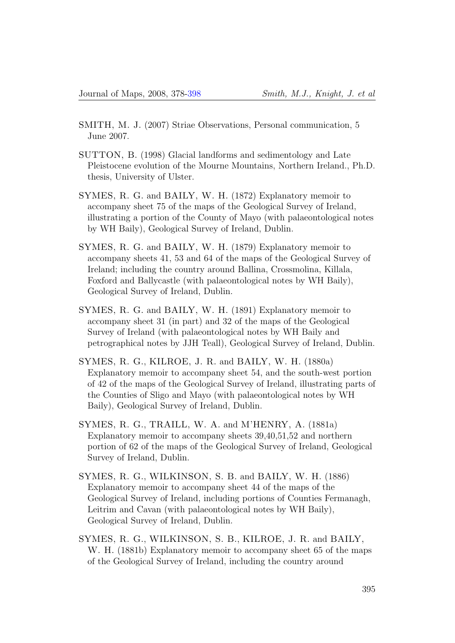- SMITH, M. J. (2007) Striae Observations, Personal communication, 5 June 2007.
- SUTTON, B. (1998) Glacial landforms and sedimentology and Late Pleistocene evolution of the Mourne Mountains, Northern Ireland., Ph.D. thesis, University of Ulster.
- SYMES, R. G. and BAILY, W. H. (1872) Explanatory memoir to accompany sheet 75 of the maps of the Geological Survey of Ireland, illustrating a portion of the County of Mayo (with palaeontological notes by WH Baily), Geological Survey of Ireland, Dublin.
- SYMES, R. G. and BAILY, W. H. (1879) Explanatory memoir to accompany sheets 41, 53 and 64 of the maps of the Geological Survey of Ireland; including the country around Ballina, Crossmolina, Killala, Foxford and Ballycastle (with palaeontological notes by WH Baily), Geological Survey of Ireland, Dublin.
- SYMES, R. G. and BAILY, W. H. (1891) Explanatory memoir to accompany sheet 31 (in part) and 32 of the maps of the Geological Survey of Ireland (with palaeontological notes by WH Baily and petrographical notes by JJH Teall), Geological Survey of Ireland, Dublin.
- SYMES, R. G., KILROE, J. R. and BAILY, W. H. (1880a) Explanatory memoir to accompany sheet 54, and the south-west portion of 42 of the maps of the Geological Survey of Ireland, illustrating parts of the Counties of Sligo and Mayo (with palaeontological notes by WH Baily), Geological Survey of Ireland, Dublin.
- SYMES, R. G., TRAILL, W. A. and M'HENRY, A. (1881a) Explanatory memoir to accompany sheets 39,40,51,52 and northern portion of 62 of the maps of the Geological Survey of Ireland, Geological Survey of Ireland, Dublin.
- SYMES, R. G., WILKINSON, S. B. and BAILY, W. H. (1886) Explanatory memoir to accompany sheet 44 of the maps of the Geological Survey of Ireland, including portions of Counties Fermanagh, Leitrim and Cavan (with palaeontological notes by WH Baily), Geological Survey of Ireland, Dublin.
- SYMES, R. G., WILKINSON, S. B., KILROE, J. R. and BAILY, W. H. (1881b) Explanatory memoir to accompany sheet 65 of the maps of the Geological Survey of Ireland, including the country around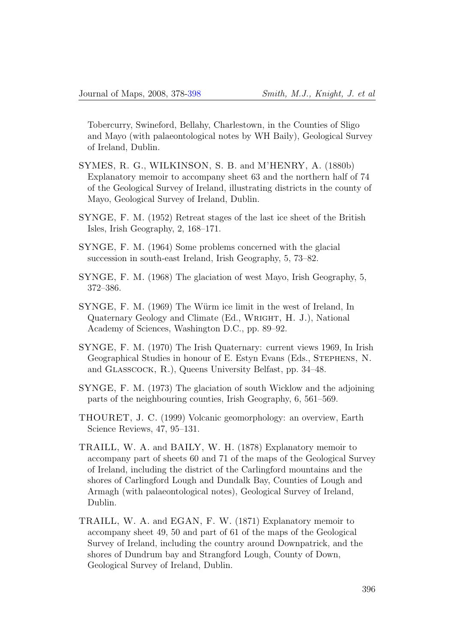Tobercurry, Swineford, Bellahy, Charlestown, in the Counties of Sligo and Mayo (with palaeontological notes by WH Baily), Geological Survey of Ireland, Dublin.

- SYMES, R. G., WILKINSON, S. B. and M'HENRY, A. (1880b) Explanatory memoir to accompany sheet 63 and the northern half of 74 of the Geological Survey of Ireland, illustrating districts in the county of Mayo, Geological Survey of Ireland, Dublin.
- SYNGE, F. M. (1952) Retreat stages of the last ice sheet of the British Isles, Irish Geography, 2, 168–171.
- SYNGE, F. M. (1964) Some problems concerned with the glacial succession in south-east Ireland, Irish Geography, 5, 73–82.
- SYNGE, F. M. (1968) The glaciation of west Mayo, Irish Geography, 5, 372–386.
- SYNGE, F. M. (1969) The Würm ice limit in the west of Ireland, In Quaternary Geology and Climate (Ed., Wright, H. J.), National Academy of Sciences, Washington D.C., pp. 89–92.
- SYNGE, F. M. (1970) The Irish Quaternary: current views 1969, In Irish Geographical Studies in honour of E. Estyn Evans (Eds., STEPHENS, N. and GLASSCOCK, R.), Queens University Belfast, pp. 34–48.
- SYNGE, F. M. (1973) The glaciation of south Wicklow and the adjoining parts of the neighbouring counties, Irish Geography, 6, 561–569.
- <span id="page-18-0"></span>THOURET, J. C. (1999) Volcanic geomorphology: an overview, Earth Science Reviews, 47, 95–131.
- TRAILL, W. A. and BAILY, W. H. (1878) Explanatory memoir to accompany part of sheets 60 and 71 of the maps of the Geological Survey of Ireland, including the district of the Carlingford mountains and the shores of Carlingford Lough and Dundalk Bay, Counties of Lough and Armagh (with palaeontological notes), Geological Survey of Ireland, Dublin.
- TRAILL, W. A. and EGAN, F. W. (1871) Explanatory memoir to accompany sheet 49, 50 and part of 61 of the maps of the Geological Survey of Ireland, including the country around Downpatrick, and the shores of Dundrum bay and Strangford Lough, County of Down, Geological Survey of Ireland, Dublin.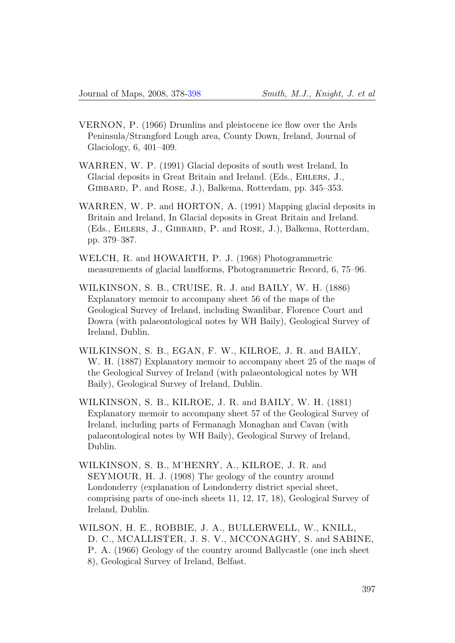- VERNON, P. (1966) Drumlins and pleistocene ice flow over the Ards Peninsula/Strangford Lough area, County Down, Ireland, Journal of Glaciology, 6, 401–409.
- WARREN, W. P. (1991) Glacial deposits of south west Ireland, In Glacial deposits in Great Britain and Ireland. (Eds., Ehlers, J., Gibbard, P. and Rose, J.), Balkema, Rotterdam, pp. 345–353.
- <span id="page-19-1"></span>WARREN, W. P. and HORTON, A. (1991) Mapping glacial deposits in Britain and Ireland, In Glacial deposits in Great Britain and Ireland. (Eds., Ehlers, J., Gibbard, P. and Rose, J.), Balkema, Rotterdam, pp. 379–387.
- <span id="page-19-0"></span>WELCH, R. and HOWARTH, P. J. (1968) Photogrammetric measurements of glacial landforms, Photogrammetric Record, 6, 75–96.
- WILKINSON, S. B., CRUISE, R. J. and BAILY, W. H. (1886) Explanatory memoir to accompany sheet 56 of the maps of the Geological Survey of Ireland, including Swanlibar, Florence Court and Dowra (with palaeontological notes by WH Baily), Geological Survey of Ireland, Dublin.
- WILKINSON, S. B., EGAN, F. W., KILROE, J. R. and BAILY, W. H. (1887) Explanatory memoir to accompany sheet 25 of the maps of the Geological Survey of Ireland (with palaeontological notes by WH Baily), Geological Survey of Ireland, Dublin.
- WILKINSON, S. B., KILROE, J. R. and BAILY, W. H. (1881) Explanatory memoir to accompany sheet 57 of the Geological Survey of Ireland, including parts of Fermanagh Monaghan and Cavan (with palaeontological notes by WH Baily), Geological Survey of Ireland, Dublin.
- WILKINSON, S. B., M'HENRY, A., KILROE, J. R. and SEYMOUR, H. J. (1908) The geology of the country around Londonderry (explanation of Londonderry district special sheet, comprising parts of one-inch sheets 11, 12, 17, 18), Geological Survey of Ireland, Dublin.
- WILSON, H. E., ROBBIE, J. A., BULLERWELL, W., KNILL, D. C., MCALLISTER, J. S. V., MCCONAGHY, S. and SABINE, P. A. (1966) Geology of the country around Ballycastle (one inch sheet 8), Geological Survey of Ireland, Belfast.